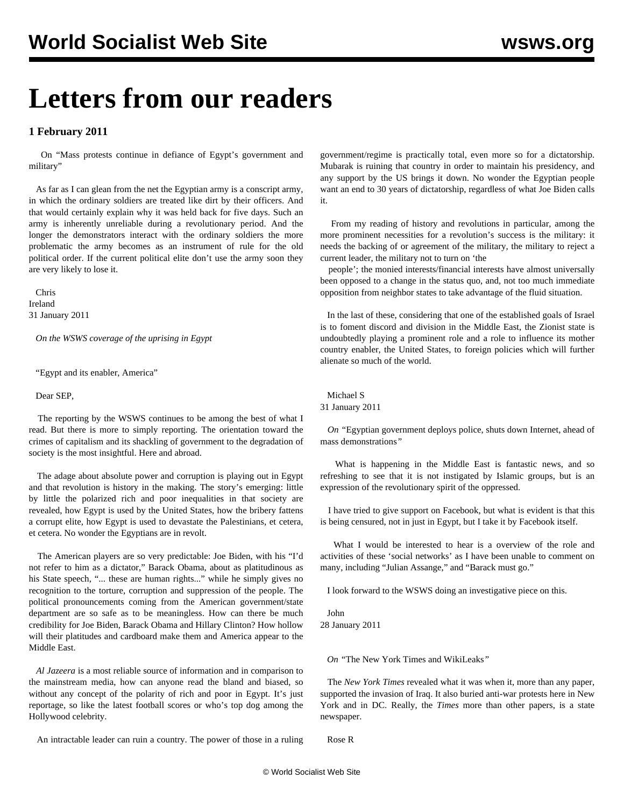## **Letters from our readers**

## **1 February 2011**

 On ["Mass protests continue in defiance of Egypt's government and](/en/articles/2011/jan2011/egyp-j31.shtml) [military"](/en/articles/2011/jan2011/egyp-j31.shtml)

 As far as I can glean from the net the Egyptian army is a conscript army, in which the ordinary soldiers are treated like dirt by their officers. And that would certainly explain why it was held back for five days. Such an army is inherently unreliable during a revolutionary period. And the longer the demonstrators interact with the ordinary soldiers the more problematic the army becomes as an instrument of rule for the old political order. If the current political elite don't use the army soon they are very likely to lose it.

 Chris Ireland 31 January 2011

*On the WSWS coverage of the uprising in Egypt*

"Egypt and its enabler, America"

Dear SEP,

 The reporting by the WSWS continues to be among the best of what I read. But there is more to simply reporting. The orientation toward the crimes of capitalism and its shackling of government to the degradation of society is the most insightful. Here and abroad.

 The adage about absolute power and corruption is playing out in Egypt and that revolution is history in the making. The story's emerging: little by little the polarized rich and poor inequalities in that society are revealed, how Egypt is used by the United States, how the bribery fattens a corrupt elite, how Egypt is used to devastate the Palestinians, et cetera, et cetera. No wonder the Egyptians are in revolt.

 The American players are so very predictable: Joe Biden, with his "I'd not refer to him as a dictator," Barack Obama, about as platitudinous as his State speech, "... these are human rights..." while he simply gives no recognition to the torture, corruption and suppression of the people. The political pronouncements coming from the American government/state department are so safe as to be meaningless. How can there be much credibility for Joe Biden, Barack Obama and Hillary Clinton? How hollow will their platitudes and cardboard make them and America appear to the Middle East.

 *Al Jazeera* is a most reliable source of information and in comparison to the mainstream media, how can anyone read the bland and biased, so without any concept of the polarity of rich and poor in Egypt. It's just reportage, so like the latest football scores or who's top dog among the Hollywood celebrity.

An intractable leader can ruin a country. The power of those in a ruling

government/regime is practically total, even more so for a dictatorship. Mubarak is ruining that country in order to maintain his presidency, and any support by the US brings it down. No wonder the Egyptian people want an end to 30 years of dictatorship, regardless of what Joe Biden calls it.

 From my reading of history and revolutions in particular, among the more prominent necessities for a revolution's success is the military: it needs the backing of or agreement of the military, the military to reject a current leader, the military not to turn on 'the

 people'; the monied interests/financial interests have almost universally been opposed to a change in the status quo, and, not too much immediate opposition from neighbor states to take advantage of the fluid situation.

 In the last of these, considering that one of the established goals of Israel is to foment discord and division in the Middle East, the Zionist state is undoubtedly playing a prominent role and a role to influence its mother country enabler, the United States, to foreign policies which will further alienate so much of the world.

Michael S

31 January 2011

 *On "*[Egyptian government deploys police, shuts down Internet, ahead of](/en/articles/2011/jan2011/egyp-j28.shtml) [mass demonstrations](/en/articles/2011/jan2011/egyp-j28.shtml)*"*

 What is happening in the Middle East is fantastic news, and so refreshing to see that it is not instigated by Islamic groups, but is an expression of the revolutionary spirit of the oppressed.

 I have tried to give support on Facebook, but what is evident is that this is being censured, not in just in Egypt, but I take it by Facebook itself.

 What I would be interested to hear is a overview of the role and activities of these 'social networks' as I have been unable to comment on many, including "Julian Assange," and "Barack must go."

I look forward to the WSWS doing an investigative piece on this.

 John 28 January 2011

*On "*[The New York Times and WikiLeaks](/en/articles/2010/dec2010/pers-d16.shtml)*"*

 The *New York Times* revealed what it was when it, more than any paper, supported the invasion of Iraq. It also buried anti-war protests here in New York and in DC. Really, the *Times* more than other papers, is a state newspaper.

Rose R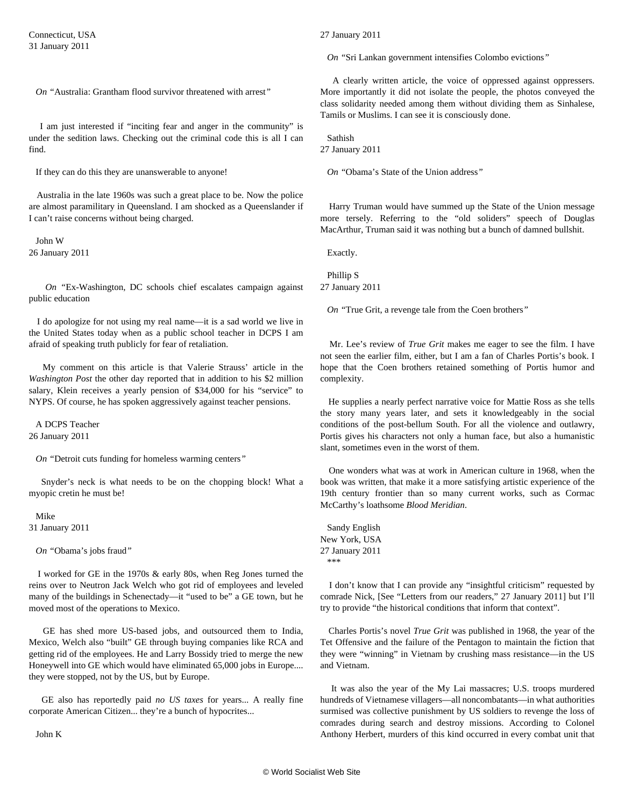*On "*[Australia: Grantham flood survivor threatened with arrest](/en/articles/2011/jan2011/mart-j18.shtml)*"*

 I am just interested if "inciting fear and anger in the community" is under the sedition laws. Checking out the criminal code this is all I can find.

If they can do this they are unanswerable to anyone!

 Australia in the late 1960s was such a great place to be. Now the police are almost paramilitary in Queensland. I am shocked as a Queenslander if I can't raise concerns without being charged.

 John W 26 January 2011

 *On "*[Ex-Washington, DC schools chief escalates campaign against](/en/articles/2011/jan2011/rhee-j26.shtml) [public education](/en/articles/2011/jan2011/rhee-j26.shtml)

 I do apologize for not using my real name—it is a sad world we live in the United States today when as a public school teacher in DCPS I am afraid of speaking truth publicly for fear of retaliation.

 My comment on this article is that Valerie Strauss' article in the *Washington Post* the other day reported that in addition to his \$2 million salary, Klein receives a yearly pension of \$34,000 for his "service" to NYPS. Of course, he has spoken aggressively against teacher pensions.

 A DCPS Teacher 26 January 2011

*On "*[Detroit cuts funding for homeless warming centers](/en/articles/2011/jan2011/home-j29.shtml)*"*

 Snyder's neck is what needs to be on the chopping block! What a myopic cretin he must be!

Mike

31 January 2011

*On "*[Obama's jobs fraud](/en/articles/2011/jan2011/pers-j22.shtml)*"*

 I worked for GE in the 1970s & early 80s, when Reg Jones turned the reins over to Neutron Jack Welch who got rid of employees and leveled many of the buildings in Schenectady—it "used to be" a GE town, but he moved most of the operations to Mexico.

 GE has shed more US-based jobs, and outsourced them to India, Mexico, Welch also "built" GE through buying companies like RCA and getting rid of the employees. He and Larry Bossidy tried to merge the new Honeywell into GE which would have eliminated 65,000 jobs in Europe.... they were stopped, not by the US, but by Europe.

 GE also has reportedly paid *no US taxes* for years... A really fine corporate American Citizen... they're a bunch of hypocrites...

John K

27 January 2011

*On "*[Sri Lankan government intensifies Colombo evictions](/en/articles/2011/jan2011/sril-j27.shtml)*"*

 A clearly written article, the voice of oppressed against oppressers. More importantly it did not isolate the people, the photos conveyed the class solidarity needed among them without dividing them as Sinhalese, Tamils or Muslims. I can see it is consciously done.

Sathish

27 January 2011

*On "*[Obama's State of the Union address](/en/articles/2011/jan2011/pers-j27.shtml)*"*

 Harry Truman would have summed up the State of the Union message more tersely. Referring to the "old soliders" speech of Douglas MacArthur, Truman said it was nothing but a bunch of damned bullshit.

Exactly.

 Phillip S 27 January 2011

*On "*[True Grit, a revenge tale from the Coen brothers](/en/articles/2011/jan2011/true-j25.shtml)*"*

 Mr. Lee's review of *True Grit* makes me eager to see the film. I have not seen the earlier film, either, but I am a fan of Charles Portis's book. I hope that the Coen brothers retained something of Portis humor and complexity.

 He supplies a nearly perfect narrative voice for Mattie Ross as she tells the story many years later, and sets it knowledgeably in the social conditions of the post-bellum South. For all the violence and outlawry, Portis gives his characters not only a human face, but also a humanistic slant, sometimes even in the worst of them.

 One wonders what was at work in American culture in 1968, when the book was written, that make it a more satisfying artistic experience of the 19th century frontier than so many current works, such as Cormac McCarthy's loathsome *Blood Meridian*.

 Sandy English New York, USA 27 January 2011 \*\*\*

 I don't know that I can provide any "insightful criticism" requested by comrade Nick, [See "[Letters from our readers,](/en/articles/2011/jan2011/corr-j27.shtml)" 27 January 2011] but I'll try to provide "the historical conditions that inform that context".

 Charles Portis's novel *True Grit* was published in 1968, the year of the Tet Offensive and the failure of the Pentagon to maintain the fiction that they were "winning" in Vietnam by crushing mass resistance—in the US and Vietnam.

 It was also the year of the My Lai massacres; U.S. troops murdered hundreds of Vietnamese villagers—all noncombatants—in what authorities surmised was collective punishment by US soldiers to revenge the loss of comrades during search and destroy missions. According to Colonel Anthony Herbert, murders of this kind occurred in every combat unit that